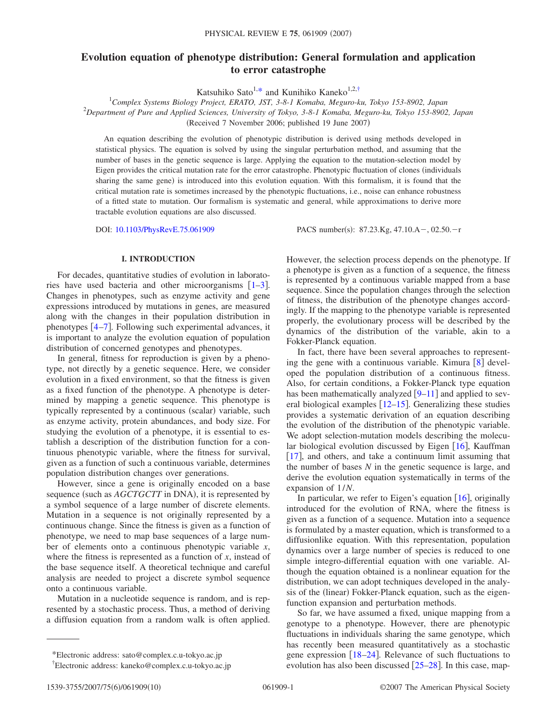# **Evolution equation of phenotype distribution: General formulation and application to error catastrophe**

Katsuhiko Sato<sup>1, $*$ </sup> and Kunihiko Kaneko<sup>1,2[,†](#page-0-1)</sup>

1 *Complex Systems Biology Project, ERATO, JST, 3-8-1 Komaba, Meguro-ku, Tokyo 153-8902, Japan*

2 *Department of Pure and Applied Sciences, University of Tokyo, 3-8-1 Komaba, Meguro-ku, Tokyo 153-8902, Japan*

(Received 7 November 2006; published 19 June 2007)

An equation describing the evolution of phenotypic distribution is derived using methods developed in statistical physics. The equation is solved by using the singular perturbation method, and assuming that the number of bases in the genetic sequence is large. Applying the equation to the mutation-selection model by Eigen provides the critical mutation rate for the error catastrophe. Phenotypic fluctuation of clones (individuals sharing the same gene) is introduced into this evolution equation. With this formalism, it is found that the critical mutation rate is sometimes increased by the phenotypic fluctuations, i.e., noise can enhance robustness of a fitted state to mutation. Our formalism is systematic and general, while approximations to derive more tractable evolution equations are also discussed.

DOI: [10.1103/PhysRevE.75.061909](http://dx.doi.org/10.1103/PhysRevE.75.061909)

PACS number(s):  $87.23.Kg$ ,  $47.10.A-, 02.50.-r$ 

# **I. INTRODUCTION**

For decades, quantitative studies of evolution in laboratories have used bacteria and other microorganisms  $[1-3]$  $[1-3]$  $[1-3]$ . Changes in phenotypes, such as enzyme activity and gene expressions introduced by mutations in genes, are measured along with the changes in their population distribution in phenotypes  $\lceil 4-7 \rceil$  $\lceil 4-7 \rceil$  $\lceil 4-7 \rceil$ . Following such experimental advances, it is important to analyze the evolution equation of population distribution of concerned genotypes and phenotypes.

In general, fitness for reproduction is given by a phenotype, not directly by a genetic sequence. Here, we consider evolution in a fixed environment, so that the fitness is given as a fixed function of the phenotype. A phenotype is determined by mapping a genetic sequence. This phenotype is typically represented by a continuous (scalar) variable, such as enzyme activity, protein abundances, and body size. For studying the evolution of a phenotype, it is essential to establish a description of the distribution function for a continuous phenotypic variable, where the fitness for survival, given as a function of such a continuous variable, determines population distribution changes over generations.

However, since a gene is originally encoded on a base sequence (such as *AGCTGCTT* in DNA), it is represented by a symbol sequence of a large number of discrete elements. Mutation in a sequence is not originally represented by a continuous change. Since the fitness is given as a function of phenotype, we need to map base sequences of a large number of elements onto a continuous phenotypic variable *x*, where the fitness is represented as a function of *x*, instead of the base sequence itself. A theoretical technique and careful analysis are needed to project a discrete symbol sequence onto a continuous variable.

Mutation in a nucleotide sequence is random, and is represented by a stochastic process. Thus, a method of deriving a diffusion equation from a random walk is often applied. However, the selection process depends on the phenotype. If a phenotype is given as a function of a sequence, the fitness is represented by a continuous variable mapped from a base sequence. Since the population changes through the selection of fitness, the distribution of the phenotype changes accordingly. If the mapping to the phenotype variable is represented properly, the evolutionary process will be described by the dynamics of the distribution of the variable, akin to a Fokker-Planck equation.

In fact, there have been several approaches to representing the gene with a continuous variable. Kimura  $\lceil 8 \rceil$  $\lceil 8 \rceil$  $\lceil 8 \rceil$  developed the population distribution of a continuous fitness. Also, for certain conditions, a Fokker-Planck type equation has been mathematically analyzed  $\sqrt{9-11}$  $\sqrt{9-11}$  $\sqrt{9-11}$  and applied to several biological examples  $[12–15]$  $[12–15]$  $[12–15]$  $[12–15]$ . Generalizing these studies provides a systematic derivation of an equation describing the evolution of the distribution of the phenotypic variable. We adopt selection-mutation models describing the molecular biological evolution discussed by Eigen  $[16]$  $[16]$  $[16]$ , Kauffman  $[17]$  $[17]$  $[17]$ , and others, and take a continuum limit assuming that the number of bases *N* in the genetic sequence is large, and derive the evolution equation systematically in terms of the expansion of 1/*N*.

In particular, we refer to Eigen's equation  $[16]$  $[16]$  $[16]$ , originally introduced for the evolution of RNA, where the fitness is given as a function of a sequence. Mutation into a sequence is formulated by a master equation, which is transformed to a diffusionlike equation. With this representation, population dynamics over a large number of species is reduced to one simple integro-differential equation with one variable. Although the equation obtained is a nonlinear equation for the distribution, we can adopt techniques developed in the analysis of the (linear) Fokker-Planck equation, such as the eigenfunction expansion and perturbation methods.

So far, we have assumed a fixed, unique mapping from a genotype to a phenotype. However, there are phenotypic fluctuations in individuals sharing the same genotype, which has recently been measured quantitatively as a stochastic gene expression  $[18–24]$  $[18–24]$  $[18–24]$  $[18–24]$ . Relevance of such fluctuations to evolution has also been discussed  $[25-28]$  $[25-28]$  $[25-28]$ . In this case, map-

<span id="page-0-0"></span><sup>\*</sup>Electronic address: sato@complex.c.u-tokyo.ac.jp

<span id="page-0-1"></span><sup>†</sup> Electronic address: kaneko@complex.c.u-tokyo.ac.jp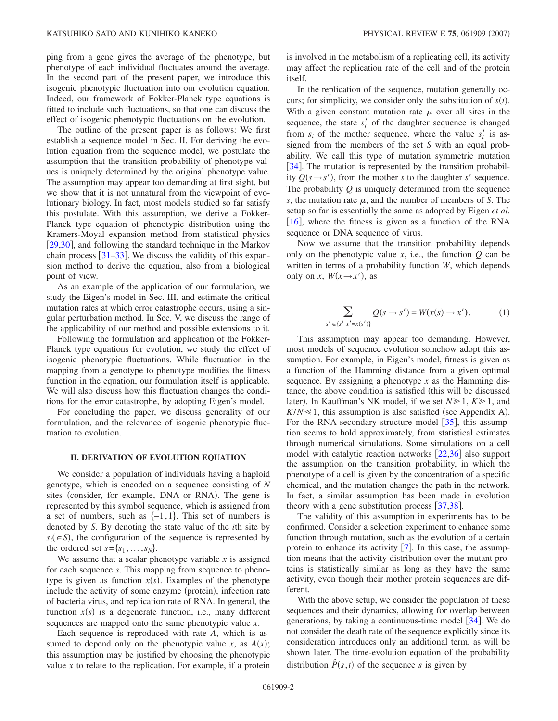ping from a gene gives the average of the phenotype, but phenotype of each individual fluctuates around the average. In the second part of the present paper, we introduce this isogenic phenotypic fluctuation into our evolution equation. Indeed, our framework of Fokker-Planck type equations is fitted to include such fluctuations, so that one can discuss the effect of isogenic phenotypic fluctuations on the evolution.

The outline of the present paper is as follows: We first establish a sequence model in Sec. II. For deriving the evolution equation from the sequence model, we postulate the assumption that the transition probability of phenotype values is uniquely determined by the original phenotype value. The assumption may appear too demanding at first sight, but we show that it is not unnatural from the viewpoint of evolutionary biology. In fact, most models studied so far satisfy this postulate. With this assumption, we derive a Fokker-Planck type equation of phenotypic distribution using the Kramers-Moyal expansion method from statistical physics [[29](#page-9-1)[,30](#page-9-2)], and following the standard technique in the Markov chain process  $[31-33]$  $[31-33]$  $[31-33]$ . We discuss the validity of this expansion method to derive the equation, also from a biological point of view.

As an example of the application of our formulation, we study the Eigen's model in Sec. III, and estimate the critical mutation rates at which error catastrophe occurs, using a singular perturbation method. In Sec. V, we discuss the range of the applicability of our method and possible extensions to it.

Following the formulation and application of the Fokker-Planck type equations for evolution, we study the effect of isogenic phenotypic fluctuations. While fluctuation in the mapping from a genotype to phenotype modifies the fitness function in the equation, our formulation itself is applicable. We will also discuss how this fluctuation changes the conditions for the error catastrophe, by adopting Eigen's model.

For concluding the paper, we discuss generality of our formulation, and the relevance of isogenic phenotypic fluctuation to evolution.

#### **II. DERIVATION OF EVOLUTION EQUATION**

We consider a population of individuals having a haploid genotype, which is encoded on a sequence consisting of *N* sites (consider, for example, DNA or RNA). The gene is represented by this symbol sequence, which is assigned from a set of numbers, such as  $\{-1,1\}$ . This set of numbers is denoted by *S*. By denoting the state value of the *i*th site by  $s_i \in S$ ), the configuration of the sequence is represented by the ordered set  $s = \{s_1, \ldots, s_N\}.$ 

We assume that a scalar phenotype variable  $x$  is assigned for each sequence *s*. This mapping from sequence to phenotype is given as function  $x(s)$ . Examples of the phenotype include the activity of some enzyme (protein), infection rate of bacteria virus, and replication rate of RNA. In general, the function  $x(s)$  is a degenerate function, i.e., many different sequences are mapped onto the same phenotypic value *x*.

Each sequence is reproduced with rate *A*, which is assumed to depend only on the phenotypic value  $x$ , as  $A(x)$ ; this assumption may be justified by choosing the phenotypic value  $x$  to relate to the replication. For example, if a protein is involved in the metabolism of a replicating cell, its activity may affect the replication rate of the cell and of the protein itself.

In the replication of the sequence, mutation generally occurs; for simplicity, we consider only the substitution of  $s(i)$ . With a given constant mutation rate  $\mu$  over all sites in the sequence, the state  $s_i'$  of the daughter sequence is changed from  $s_i$  of the mother sequence, where the value  $s'_i$  is assigned from the members of the set *S* with an equal probability. We call this type of mutation symmetric mutation  $[34]$  $[34]$  $[34]$ . The mutation is represented by the transition probability  $Q(s \rightarrow s')$ , from the mother *s* to the daughter *s'* sequence. The probability *Q* is uniquely determined from the sequence  $s$ , the mutation rate  $\mu$ , and the number of members of *S*. The setup so far is essentially the same as adopted by Eigen *et al.*  $[16]$  $[16]$  $[16]$ , where the fitness is given as a function of the RNA sequence or DNA sequence of virus.

Now we assume that the transition probability depends only on the phenotypic value  $x$ , i.e., the function  $Q$  can be written in terms of a probability function *W*, which depends only on *x*,  $W(x \rightarrow x')$ , as

$$
\sum_{s' \in \{s'|x'=x(s')\}} Q(s \to s') = W(x(s) \to x'). \tag{1}
$$

<span id="page-1-0"></span>This assumption may appear too demanding. However, most models of sequence evolution somehow adopt this assumption. For example, in Eigen's model, fitness is given as a function of the Hamming distance from a given optimal sequence. By assigning a phenotype *x* as the Hamming distance, the above condition is satisfied (this will be discussed later). In Kauffman's NK model, if we set  $N \ge 1$ ,  $K \ge 1$ , and  $KNN \leq 1$ , this assumption is also satisfied (see Appendix A). For the RNA secondary structure model  $\lceil 35 \rceil$  $\lceil 35 \rceil$  $\lceil 35 \rceil$ , this assumption seems to hold approximately, from statistical estimates through numerical simulations. Some simulations on a cell model with catalytic reaction networks  $[22,36]$  $[22,36]$  $[22,36]$  $[22,36]$  also support the assumption on the transition probability, in which the phenotype of a cell is given by the concentration of a specific chemical, and the mutation changes the path in the network. In fact, a similar assumption has been made in evolution theory with a gene substitution process  $[37,38]$  $[37,38]$  $[37,38]$  $[37,38]$ .

The validity of this assumption in experiments has to be confirmed. Consider a selection experiment to enhance some function through mutation, such as the evolution of a certain protein to enhance its activity  $[7]$  $[7]$  $[7]$ . In this case, the assumption means that the activity distribution over the mutant proteins is statistically similar as long as they have the same activity, even though their mother protein sequences are different.

With the above setup, we consider the population of these sequences and their dynamics, allowing for overlap between generations, by taking a continuous-time model  $[34]$  $[34]$  $[34]$ . We do not consider the death rate of the sequence explicitly since its consideration introduces only an additional term, as will be shown later. The time-evolution equation of the probability distribution  $\hat{P}(s,t)$  of the sequence *s* is given by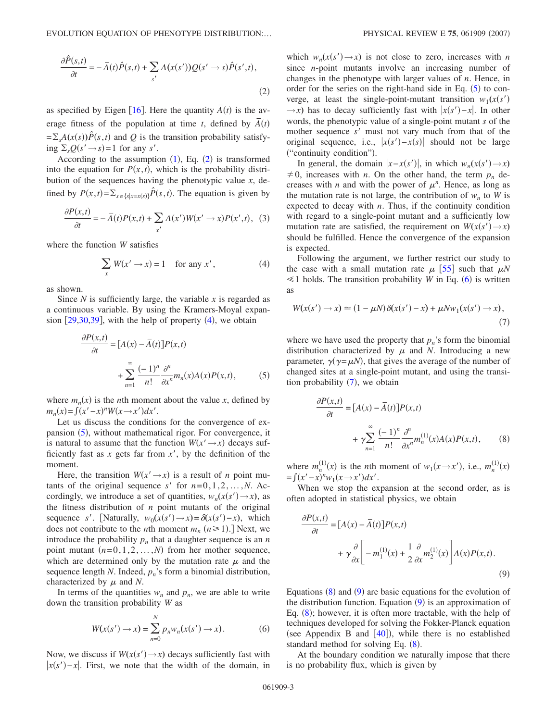<span id="page-2-0"></span>as specified by Eigen [[16](#page-8-9)]. Here the quantity  $\overline{A}(t)$  is the average fitness of the population at time *t*, defined by  $\overline{A}(t)$  $=\sum_{s}A(x(s))\hat{P}(s,t)$  and *Q* is the transition probability satisfying  $\Sigma_s Q(s' \rightarrow s) = 1$  for any *s'*.

According to the assumption  $(1)$  $(1)$  $(1)$ , Eq.  $(2)$  $(2)$  $(2)$  is transformed into the equation for  $P(x, t)$ , which is the probability distribution of the sequences having the phenotypic value *x*, defined by  $P(x,t) = \sum_{s \in \{s | x = x(s)\}} \hat{P}(s,t)$ . The equation is given by

<span id="page-2-7"></span>
$$
\frac{\partial P(x,t)}{\partial t} = -\overline{A}(t)P(x,t) + \sum_{x'} A(x')W(x' \to x)P(x',t), \tag{3}
$$

<span id="page-2-1"></span>where the function *W* satisfies

$$
\sum_{x} W(x' \to x) = 1 \quad \text{for any } x', \tag{4}
$$

as shown.

<span id="page-2-2"></span>Since  $N$  is sufficiently large, the variable  $x$  is regarded as a continuous variable. By using the Kramers-Moyal expansion  $[29,30,39]$  $[29,30,39]$  $[29,30,39]$  $[29,30,39]$  $[29,30,39]$ , with the help of property  $(4)$  $(4)$  $(4)$ , we obtain

$$
\frac{\partial P(x,t)}{\partial t} = [A(x) - \overline{A}(t)]P(x,t)
$$

$$
+ \sum_{n=1}^{\infty} \frac{(-1)^n}{n!} \frac{\partial^n}{\partial x^n} m_n(x)A(x)P(x,t), \qquad (5)
$$

where  $m_n(x)$  is the *n*th moment about the value *x*, defined by  $m_n(x) = \int (x'-x)^n W(x \rightarrow x') dx'.$ 

Let us discuss the conditions for the convergence of ex-pansion ([5](#page-2-2)), without mathematical rigor. For convergence, it is natural to assume that the function  $W(x' \rightarrow x)$  decays sufficiently fast as *x* gets far from *x*, by the definition of the moment.

Here, the transition  $W(x' \rightarrow x)$  is a result of *n* point mutants of the original sequence  $s'$  for  $n=0,1,2,...,N$ . Accordingly, we introduce a set of quantities,  $w_n(x(s') \rightarrow x)$ , as the fitness distribution of *n* point mutants of the original sequence *s'*. [Naturally,  $w_0(x(s') \rightarrow x) = \delta(x(s') - x)$ , which does not contribute to the *n*th moment  $m_n$  ( $n \ge 1$ ).] Next, we introduce the probability  $p_n$  that a daughter sequence is an *n* point mutant  $(n=0,1,2,...,N)$  from her mother sequence, which are determined only by the mutation rate  $\mu$  and the sequence length *N*. Indeed,  $p_n$ 's form a binomial distribution, characterized by  $\mu$  and *N*.

<span id="page-2-3"></span>In terms of the quantities  $w_n$  and  $p_n$ , we are able to write down the transition probability *W* as

$$
W(x(s') \to x) = \sum_{n=0}^{N} p_n w_n(x(s') \to x).
$$
 (6)

Now, we discuss if  $W(x(s') \rightarrow x)$  decays sufficiently fast with  $|x(s') - x|$ . First, we note that the width of the domain, in

which  $w_n(x(s') \rightarrow x)$  is not close to zero, increases with *n* since *n*-point mutants involve an increasing number of changes in the phenotype with larger values of *n*. Hence, in order for the series on the right-hand side in Eq.  $(5)$  $(5)$  $(5)$  to converge, at least the single-point-mutant transition  $w_1(x(s))$  $\rightarrow$ *x*) has to decay sufficiently fast with  $|x(s') - x|$ . In other words, the phenotypic value of a single-point mutant *s* of the mother sequence *s'* must not vary much from that of the original sequence, i.e.,  $|x(s') - x(s)|$  should not be large ("continuity condition").

In general, the domain  $|x-x(s')|$ , in which  $w_n(x(s') \rightarrow x)$  $\neq$  0, increases with *n*. On the other hand, the term  $p_n$  decreases with *n* and with the power of  $\mu^n$ . Hence, as long as the mutation rate is not large, the contribution of  $w_n$  to *W* is expected to decay with *n*. Thus, if the continuity condition with regard to a single-point mutant and a sufficiently low mutation rate are satisfied, the requirement on  $W(x(s') \rightarrow x)$ should be fulfilled. Hence the convergence of the expansion is expected.

Following the argument, we further restrict our study to the case with a small mutation rate  $\mu$  [[55](#page-9-11)] such that  $\mu$ *N*  $\leq 1$  holds. The transition probability *W* in Eq. ([6](#page-2-3)) is written as

<span id="page-2-4"></span>
$$
W(x(s') \to x) \simeq (1 - \mu N) \delta(x(s') - x) + \mu N w_1(x(s') \to x),
$$
\n(7)

where we have used the property that  $p_n$ 's form the binomial distribution characterized by  $\mu$  and *N*. Introducing a new parameter,  $\gamma(\gamma = \mu N)$ , that gives the average of the number of changed sites at a single-point mutant, and using the transition probability  $(7)$  $(7)$  $(7)$ , we obtain

<span id="page-2-5"></span>
$$
\frac{\partial P(x,t)}{\partial t} = [A(x) - \overline{A}(t)]P(x,t)
$$

$$
+ \gamma \sum_{n=1}^{\infty} \frac{(-1)^n}{n!} \frac{\partial^n}{\partial x^n} m_n^{(1)}(x)A(x)P(x,t), \qquad (8)
$$

where  $m_n^{(1)}(x)$  is the *n*th moment of  $w_1(x \rightarrow x')$ , i.e.,  $m_n^{(1)}(x)$  $=\int (x'-x)^n w_1(x \rightarrow x') dx'.$ 

When we stop the expansion at the second order, as is often adopted in statistical physics, we obtain

<span id="page-2-6"></span>
$$
\frac{\partial P(x,t)}{\partial t} = [A(x) - \overline{A}(t)]P(x,t)
$$

$$
+ \gamma \frac{\partial}{\partial x} \left[ -m_1^{(1)}(x) + \frac{1}{2} \frac{\partial}{\partial x} m_2^{(1)}(x) \right] A(x)P(x,t).
$$
(9)

Equations  $(8)$  $(8)$  $(8)$  and  $(9)$  $(9)$  $(9)$  are basic equations for the evolution of the distribution function. Equation  $(9)$  $(9)$  $(9)$  is an approximation of Eq. ([8](#page-2-5)); however, it is often more tractable, with the help of techniques developed for solving the Fokker-Planck equation (see Appendix B and  $[40]$  $[40]$  $[40]$ ), while there is no established standard method for solving Eq.  $(8)$  $(8)$  $(8)$ .

At the boundary condition we naturally impose that there is no probability flux, which is given by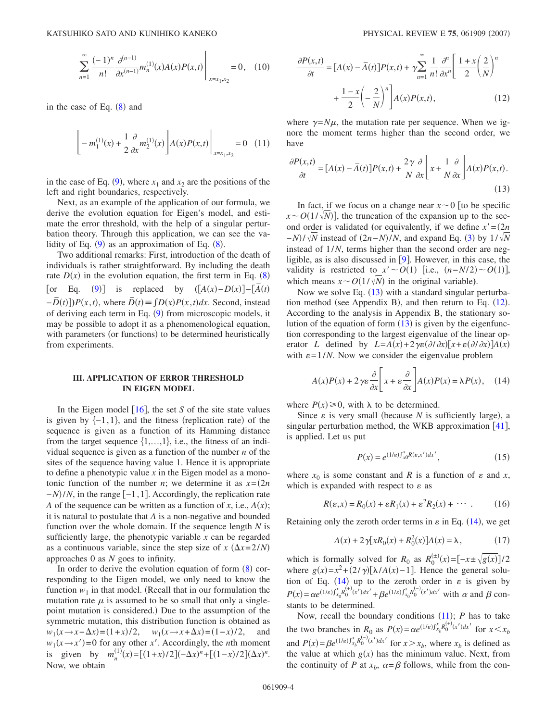$$
\sum_{n=1}^{\infty} \frac{(-1)^n}{n!} \frac{\partial^{(n-1)}}{\partial x^{(n-1)}} m_n^{(1)}(x) A(x) P(x,t) \Big|_{x=x_1,x_2} = 0, \quad (10)
$$

<span id="page-3-2"></span>in the case of Eq.  $(8)$  $(8)$  $(8)$  and

$$
\[-m_1^{(1)}(x) + \frac{1}{2} \frac{\partial}{\partial x} m_2^{(1)}(x)\] A(x) P(x,t)\|_{x=x_1,x_2} = 0 \quad (11)
$$

in the case of Eq. ([9](#page-2-6)), where  $x_1$  and  $x_2$  are the positions of the left and right boundaries, respectively.

Next, as an example of the application of our formula, we derive the evolution equation for Eigen's model, and estimate the error threshold, with the help of a singular perturbation theory. Through this application, we can see the validity of Eq.  $(9)$  $(9)$  $(9)$  as an approximation of Eq.  $(8)$  $(8)$  $(8)$ .

Two additional remarks: First, introduction of the death of individuals is rather straightforward. By including the death rate  $D(x)$  in the evolution equation, the first term in Eq.  $(8)$  $(8)$  $(8)$  $\begin{bmatrix} \text{or} & \text{Eq.} \end{bmatrix}$  ([9](#page-2-6)) is replaced by  $([A(x)-D(x)]-[A(t)]$  $-\overline{D}(t)$ ]) $P(x, t)$ , where  $\overline{D}(t) \equiv \int D(x)P(x, t)dx$ . Second, instead of deriving each term in Eq. ([9](#page-2-6)) from microscopic models, it may be possible to adopt it as a phenomenological equation, with parameters (or functions) to be determined heuristically from experiments.

### **III. APPLICATION OF ERROR THRESHOLD IN EIGEN MODEL**

In the Eigen model  $\left[16\right]$  $\left[16\right]$  $\left[16\right]$ , the set *S* of the site state values is given by  $\{-1, 1\}$ , and the fitness (replication rate) of the sequence is given as a function of its Hamming distance from the target sequence  $\{1,\ldots,1\}$ , i.e., the fitness of an individual sequence is given as a function of the number *n* of the sites of the sequence having value 1. Hence it is appropriate to define a phenotypic value *x* in the Eigen model as a monotonic function of the number *n*; we determine it as  $x=(2n)$  $-N$ //N, in the range [−1, 1]. Accordingly, the replication rate *A* of the sequence can be written as a function of *x*, i.e.,  $A(x)$ ; it is natural to postulate that *A* is a non-negative and bounded function over the whole domain. If the sequence length *N* is sufficiently large, the phenotypic variable *x* can be regarded as a continuous variable, since the step size of  $x (\Delta x = 2/N)$ approaches 0 as *N* goes to infinity.

In order to derive the evolution equation of form  $(8)$  $(8)$  $(8)$  corresponding to the Eigen model, we only need to know the function  $w_1$  in that model. (Recall that in our formulation the mutation rate  $\mu$  is assumed to be so small that only a singlepoint mutation is considered.) Due to the assumption of the symmetric mutation, this distribution function is obtained as *w*<sub>1</sub>(*x*→*x*- $\Delta x$ )=(1+*x*)/2, *w*<sub>1</sub>(*x*→*x*+ $\Delta x$ )=(1-*x*) and  $w_1(x \rightarrow x') = 0$  for any other *x'*. Accordingly, the *n*th moment is given by  $m_n^{(1)}(x) = [(1+x)/2](-\Delta x)^n + [(1-x)/2](\Delta x)^n$ . Now, we obtain

<span id="page-3-1"></span>
$$
\frac{\partial P(x,t)}{\partial t} = [A(x) - \overline{A}(t)]P(x,t) + \gamma \sum_{n=1}^{\infty} \frac{1}{n!} \frac{\partial^n}{\partial x^n} \left[ \frac{1+x}{2} \left( \frac{2}{N} \right)^n + \frac{1-x}{2} \left( -\frac{2}{N} \right)^n \right] A(x)P(x,t), \qquad (12)
$$

where  $\gamma = N\mu$ , the mutation rate per sequence. When we ignore the moment terms higher than the second order, we have

<span id="page-3-0"></span>
$$
\frac{\partial P(x,t)}{\partial t} = [A(x) - \overline{A}(t)]P(x,t) + \frac{2\gamma}{N} \frac{\partial}{\partial x} \left[ x + \frac{1}{N} \frac{\partial}{\partial x} \right] A(x)P(x,t).
$$
\n(13)

In fact, if we focus on a change near  $x \sim 0$  [to be specific  $x \sim O(1/\sqrt{N})$ , the truncation of the expansion up to the second order is validated (or equivalently, if we define  $x' = (2n)$  $(-N)/\sqrt{N}$  instead of  $(2n-N)/N$ , and expand Eq. ([3](#page-2-7)) by  $1/\sqrt{N}$ instead of 1/*N*, terms higher than the second order are negligible, as is also discussed in  $[9]$  $[9]$  $[9]$ . However, in this case, the validity is restricted to  $x' \sim O(1)$  [i.e.,  $(n - N/2) \sim O(1)$ ], which means  $x \sim O(1/\sqrt{N})$  in the original variable).

Now we solve Eq.  $(13)$  $(13)$  $(13)$  with a standard singular perturbation method (see Appendix B), and then return to Eq.  $(12)$  $(12)$  $(12)$ . According to the analysis in Appendix B, the stationary solution of the equation of form  $(13)$  $(13)$  $(13)$  is given by the eigenfunction corresponding to the largest eigenvalue of the linear operator *L* defined by  $L = A(x) + 2\gamma\epsilon(\partial/\partial x)[x + \epsilon(\partial/\partial x)]A(x)$ with  $\varepsilon = 1/N$ . Now we consider the eigenvalue problem

$$
A(x)P(x) + 2\gamma \varepsilon \frac{\partial}{\partial x} \left[ x + \varepsilon \frac{\partial}{\partial x} \right] A(x)P(x) = \lambda P(x), \quad (14)
$$

where  $P(x) \ge 0$ , with  $\lambda$  to be determined.

Since  $\varepsilon$  is very small (because  $N$  is sufficiently large), a singular perturbation method, the WKB approximation  $[41]$  $[41]$  $[41]$ , is applied. Let us put

$$
P(x) = e^{(1/\varepsilon)\int_{x0}^{x} R(\varepsilon, x')dx'},
$$
\n(15)

<span id="page-3-3"></span>where  $x_0$  is some constant and R is a function of  $\varepsilon$  and x, which is expanded with respect to  $\varepsilon$  as

$$
R(\varepsilon, x) = R_0(x) + \varepsilon R_1(x) + \varepsilon^2 R_2(x) + \cdots
$$
 (16)

Retaining only the zeroth order terms in  $\varepsilon$  in Eq. ([14](#page-3-1)), we get

$$
A(x) + 2\sqrt{x}R_0(x) + R_0^2(x)A(x) = \lambda,
$$
 (17)

which is formally solved for  $R_0$  as  $R_0^{(\pm)}(x) = [-x \pm \sqrt{g(x)}]/2$ where  $g(x)=x^2+(2/\gamma)[\lambda/A(x)-1]$ . Hence the general solu-tion of Eq. ([14](#page-3-1)) up to the zeroth order in  $\varepsilon$  is given by  $P(x) = \alpha e^{(1/\varepsilon)\int_{x_0}^x R_0^{(+)}(x')dx'} + \beta e^{(1/\varepsilon)\int_{x_0}^x R_0^{(-)}(x')dx'}$  with  $\alpha$  and  $\beta$  constants to be determined.

Now, recall the boundary conditions  $(11)$  $(11)$  $(11)$ ;  $P$  has to take the two branches in  $R_0$  as  $P(x) = \alpha e^{(1/\varepsilon)\int_{x_b}^{x_b} R_0^{(+)}(x')dx'}$  for  $x < x_b$ and  $P(x) = \beta e^{(1/\varepsilon)\int_{x_b}^{x_b} R_0^{(-)}(x')dx'}$  for  $x > x_b$ , where  $x_b$  is defined as the value at which  $g(x)$  has the minimum value. Next, from the continuity of *P* at  $x_b$ ,  $\alpha = \beta$  follows, while from the con-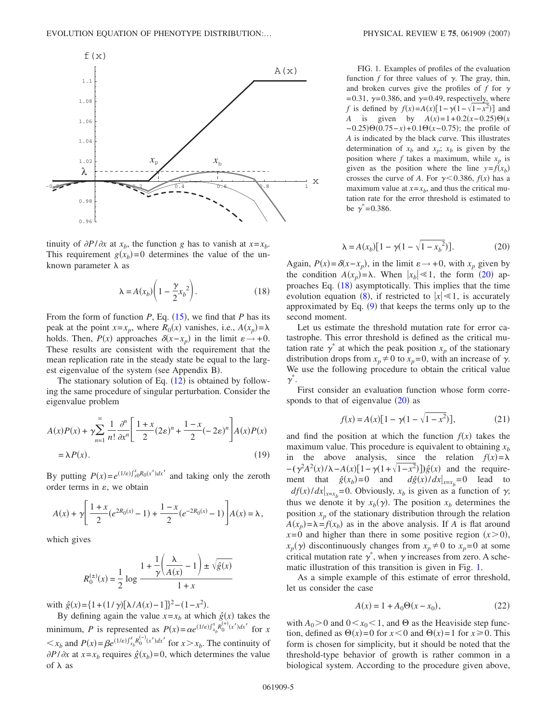<span id="page-4-2"></span>

tinuity of  $\partial P/\partial x$  at  $x_b$ , the function *g* has to vanish at  $x=x_b$ . This requirement  $g(x_b) = 0$  determines the value of the unknown parameter  $\lambda$  as

$$
\lambda = A(x_b) \left( 1 - \frac{\gamma}{2} x_b^2 \right). \tag{18}
$$

<span id="page-4-1"></span>From the form of function  $P$ , Eq.  $(15)$  $(15)$  $(15)$ , we find that  $P$  has its peak at the point  $x=x_p$ , where  $R_0(x)$  vanishes, i.e.,  $A(x_p) = \lambda$ holds. Then,  $P(x)$  approaches  $\delta(x-x_p)$  in the limit  $\varepsilon \to +0$ . These results are consistent with the requirement that the mean replication rate in the steady state be equal to the largest eigenvalue of the system (see Appendix B).

The stationary solution of Eq.  $(12)$  $(12)$  $(12)$  is obtained by following the same procedure of singular perturbation. Consider the eigenvalue problem

$$
A(x)P(x) + \gamma \sum_{n=1}^{\infty} \frac{1}{n!} \frac{\partial^n}{\partial x^n} \left[ \frac{1+x}{2} (2\varepsilon)^n + \frac{1-x}{2} (-2\varepsilon)^n \right] A(x)P(x)
$$
  
=  $\lambda P(x).$  (19)

By putting  $P(x) = e^{(1/\varepsilon)x} e^{x} e^{(x'/dx')}$  and taking only the zeroth order terms in  $\varepsilon$ , we obtain

$$
A(x) + \gamma \left[ \frac{1+x}{2} (e^{2R_0(x)} - 1) + \frac{1-x}{2} (e^{-2R_0(x)} - 1) \right] A(x) = \lambda,
$$

which gives

$$
R_0^{(\pm)}(x) = \frac{1}{2} \log \frac{1 + \frac{1}{\gamma} \left(\frac{\lambda}{A(x)} - 1\right) \pm \sqrt{\hat{g}(x)}}{1 + x}
$$

with  $\hat{g}(x) = \{1 + (1/\gamma)[\lambda/A(x) - 1]\}^2 - (1 - x^2)$ .

By defining again the value  $x=x_b$  at which  $\hat{g}(x)$  takes the minimum, *P* is represented as  $P(x) = \alpha e^{(1/\varepsilon)\int_{x_b}^x R_0^{(+)}(x')dx'}$  for *x*  $\langle x_h$  and  $P(x) = \beta e^{(1/\varepsilon)\int_{x_h}^x R_0^{(-)}(x')dx'}$  for  $x > x_h$ . The continuity of  $\partial P/\partial x$  at  $x = x_b$  requires  $\hat{g}(x_b) = 0$ , which determines the value of  $\lambda$  as

FIG. 1. Examples of profiles of the evaluation function  $f$  for three values of  $\gamma$ . The gray, thin, and broken curves give the profiles of  $f$  for  $\gamma$ =0.31,  $\gamma$ =0.386, and  $\gamma$ =0.49, respectively, where *f* is defined by  $f(x) = A(x)[1 - \gamma(1 - \sqrt{1 - x^2})]$  and *A* is given by  $A(x)=1+0.2(x-0.25)\Theta(x)$ −0.25) $\Theta(0.75-x) + 0.1\Theta(x-0.75)$ ; the profile of *A* is indicated by the black curve. This illustrates determination of  $x_b$  and  $x_p$ ;  $x_b$  is given by the position where  $f$  takes a maximum, while  $x_p$  is given as the position where the line  $y = f(x_b)$ crosses the curve of *A*. For  $\gamma$ <0.386,  $f(x)$  has a maximum value at  $x=x_h$ , and thus the critical mutation rate for the error threshold is estimated to be  $\gamma^* = 0.386$ .

$$
\lambda = A(x_b)[1 - \gamma(1 - \sqrt{1 - x_b^2})].
$$
 (20)

<span id="page-4-0"></span>Again,  $P(x) = \delta(x - x_p)$ , in the limit  $\varepsilon \to +0$ , with  $x_p$  given by the condition  $A(x_p) = \lambda$ . When  $|x_b| \le 1$ , the form ([20](#page-4-0)) ap-proaches Eq. ([18](#page-4-1)) asymptotically. This implies that the time evolution equation ([8](#page-2-5)), if restricted to  $|x| \le 1$ , is accurately approximated by Eq.  $(9)$  $(9)$  $(9)$  that keeps the terms only up to the second moment.

Let us estimate the threshold mutation rate for error catastrophe. This error threshold is defined as the critical mutation rate  $\gamma^*$  at which the peak position  $x_p$  of the stationary distribution drops from  $x_p \neq 0$  to  $x_p = 0$ , with an increase of  $\gamma$ . We use the following procedure to obtain the critical value  $\gamma^*$ .

First consider an evaluation function whose form corresponds to that of eigenvalue  $(20)$  $(20)$  $(20)$  as

$$
f(x) = A(x)[1 - \gamma(1 - \sqrt{1 - x^2})],
$$
 (21)

<span id="page-4-4"></span>and find the position at which the function  $f(x)$  takes the maximum value. This procedure is equivalent to obtaining  $x<sub>b</sub>$ in the above analysis, since the relation  $f(x) = \lambda$  $-(\gamma^2 A^2(x)/\lambda - A(x)[1-\gamma(1+\sqrt{1-x^2})])\hat{g}(x)$  and the requirement that  $\hat{g}(x_b) = 0$  and  $d\hat{g}(x) / dx |_{x=x_b} = 0$  lead to  $df(x)/dx$ <sub> $x=x_b$ </sub> = 0. Obviously,  $x_b$  is given as a function of  $\gamma$ ; thus we denote it by  $x_b(\gamma)$ . The position  $x_b$  determines the position  $x_p$  of the stationary distribution through the relation  $A(x_p) = \lambda = f(x_b)$  as in the above analysis. If *A* is flat around  $x=0$  and higher than there in some positive region  $(x>0)$ ,  $x_p(\gamma)$  discontinuously changes from  $x_p \neq 0$  to  $x_p = 0$  at some critical mutation rate  $\gamma^*$ , when  $\gamma$  increases from zero. A schematic illustration of this transition is given in Fig. [1.](#page-4-2)

As a simple example of this estimate of error threshold, let us consider the case

$$
A(x) = 1 + A_0 \Theta(x - x_0),
$$
 (22)

<span id="page-4-3"></span>with  $A_0 > 0$  and  $0 < x_0 < 1$ , and  $\Theta$  as the Heaviside step function, defined as  $\Theta(x)=0$  for  $x < 0$  and  $\Theta(x)=1$  for  $x \ge 0$ . This form is chosen for simplicity, but it should be noted that the threshold-type behavior of growth is rather common in a biological system. According to the procedure given above,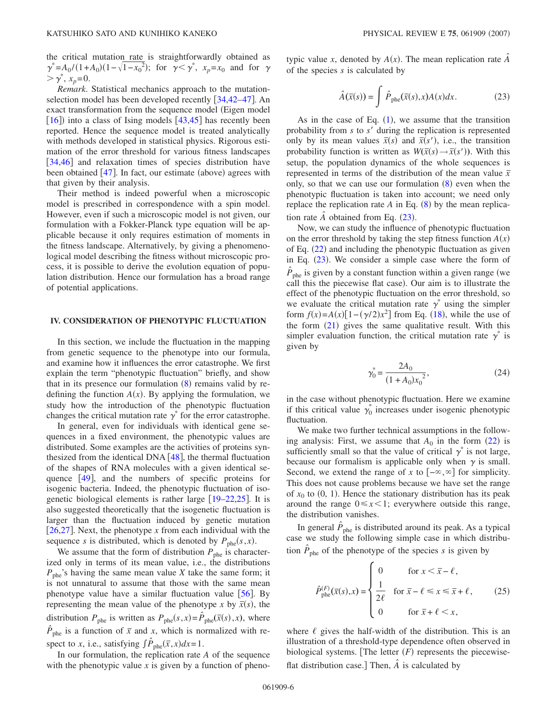the critical mutation rate is straightforwardly obtained as  $\gamma^* = A_0 / (1 + A_0) (1 - \sqrt{1 - x_0^2})$ ; for  $\gamma < \gamma^*$ ,  $x_p = x_0$  and for  $\gamma$  $> \gamma^*$ ,  $x_p = 0$ .

*Remark*. Statistical mechanics approach to the mutationselection model has been developed recently  $[34,42-47]$  $[34,42-47]$  $[34,42-47]$  $[34,42-47]$  $[34,42-47]$ . An exact transformation from the sequence model (Eigen model)  $[16]$  $[16]$  $[16]$ ) into a class of Ising models  $[43,45]$  $[43,45]$  $[43,45]$  $[43,45]$  has recently been reported. Hence the sequence model is treated analytically with methods developed in statistical physics. Rigorous estimation of the error threshold for various fitness landscapes [[34](#page-9-5)[,46](#page-9-18)] and relaxation times of species distribution have been obtained  $[47]$  $[47]$  $[47]$ . In fact, our estimate (above) agrees with that given by their analysis.

Their method is indeed powerful when a microscopic model is prescribed in correspondence with a spin model. However, even if such a microscopic model is not given, our formulation with a Fokker-Planck type equation will be applicable because it only requires estimation of moments in the fitness landscape. Alternatively, by giving a phenomenological model describing the fitness without microscopic process, it is possible to derive the evolution equation of population distribution. Hence our formulation has a broad range of potential applications.

### **IV. CONSIDERATION OF PHENOTYPIC FLUCTUATION**

In this section, we include the fluctuation in the mapping from genetic sequence to the phenotype into our formula, and examine how it influences the error catastrophe. We first explain the term "phenotypic fluctuation" briefly, and show that in its presence our formulation  $(8)$  $(8)$  $(8)$  remains valid by redefining the function  $A(x)$ . By applying the formulation, we study how the introduction of the phenotypic fluctuation changes the critical mutation rate  $\gamma^*$  for the error catastrophe.

In general, even for individuals with identical gene sequences in a fixed environment, the phenotypic values are distributed. Some examples are the activities of proteins synthesized from the identical DNA  $[48]$  $[48]$  $[48]$ , the thermal fluctuation of the shapes of RNA molecules with a given identical sequence  $[49]$  $[49]$  $[49]$ , and the numbers of specific proteins for isogenic bacteria. Indeed, the phenotypic fluctuation of isogenetic biological elements is rather large  $[19–22,25]$  $[19–22,25]$  $[19–22,25]$  $[19–22,25]$  $[19–22,25]$ . It is also suggested theoretically that the isogenetic fluctuation is larger than the fluctuation induced by genetic mutation [ $26,27$  $26,27$ ]. Next, the phenotype *x* from each individual with the sequence *s* is distributed, which is denoted by  $P_{\text{phe}}(s, x)$ .

We assume that the form of distribution  $P_{\text{ph}}$  is characterized only in terms of its mean value, i.e., the distributions  $P_{\text{ph}}$ 's having the same mean value *X* take the same form; it is not unnatural to assume that those with the same mean phenotype value have a similar fluctuation value  $\lceil 56 \rceil$  $\lceil 56 \rceil$  $\lceil 56 \rceil$ . By representing the mean value of the phenotype *x* by  $\bar{x}(s)$ , the distribution  $P_{\text{phe}}$  is written as  $P_{\text{phe}}(s, x) = \hat{P}_{\text{phe}}(\bar{x}(s), x)$ , where  $\hat{P}_{\text{phe}}$  is a function of  $\bar{x}$  and *x*, which is normalized with respect to *x*, i.e., satisfying  $\int \hat{P}_{\text{ph} \infty}(\bar{x}, x) dx = 1$ .

In our formulation, the replication rate *A* of the sequence with the phenotypic value  $x$  is given by a function of pheno-

<span id="page-5-0"></span>typic value *x*, denoted by  $A(x)$ . The mean replication rate  $\hat{A}$ of the species *s* is calculated by

$$
\hat{A}(\bar{x}(s)) = \int \hat{P}_{\text{phe}}(\bar{x}(s), x) A(x) dx.
$$
 (23)

As in the case of Eq.  $(1)$  $(1)$  $(1)$ , we assume that the transition probability from  $s$  to  $s'$  during the replication is represented only by its mean values  $\bar{x}(s)$  and  $\bar{x}(s')$ , i.e., the transition probability function is written as  $W(\bar{x}(s) \rightarrow \bar{x}(s'))$ . With this setup, the population dynamics of the whole sequences is represented in terms of the distribution of the mean value  $\bar{x}$ only, so that we can use our formulation  $(8)$  $(8)$  $(8)$  even when the phenotypic fluctuation is taken into account; we need only replace the replication rate  $A$  in Eq.  $(8)$  $(8)$  $(8)$  by the mean replication rate  $\hat{A}$  obtained from Eq. ([23](#page-5-0)).

Now, we can study the influence of phenotypic fluctuation on the error threshold by taking the step fitness function  $A(x)$ of Eq. ([22](#page-4-3)) and including the phenotypic fluctuation as given in Eq.  $(23)$  $(23)$  $(23)$ . We consider a simple case where the form of  $\hat{P}_{\text{phe}}$  is given by a constant function within a given range (we call this the piecewise flat case). Our aim is to illustrate the effect of the phenotypic fluctuation on the error threshold, so we evaluate the critical mutation rate  $\gamma^*$  using the simpler form  $f(x) = A(x)[1 - (\gamma/2)x^2]$  from Eq. ([18](#page-4-1)), while the use of the form  $(21)$  $(21)$  $(21)$  gives the same qualitative result. With this simpler evaluation function, the critical mutation rate  $\gamma^*$  is given by

$$
\gamma_0^* = \frac{2A_0}{(1+A_0)x_0^2},\tag{24}
$$

<span id="page-5-1"></span>in the case without phenotypic fluctuation. Here we examine if this critical value  $\gamma_0^*$  increases under isogenic phenotypic fluctuation.

We make two further technical assumptions in the following analysis: First, we assume that  $A_0$  in the form  $(22)$  $(22)$  $(22)$  is sufficiently small so that the value of critical  $\gamma^*$  is not large, because our formalism is applicable only when  $\gamma$  is small. Second, we extend the range of *x* to  $[-\infty, \infty]$  for simplicity. This does not cause problems because we have set the range of  $x_0$  to  $(0, 1)$ . Hence the stationary distribution has its peak around the range  $0 \le x \le 1$ ; everywhere outside this range, the distribution vanishes.

In general  $\hat{P}_{\text{phe}}$  is distributed around its peak. As a typical case we study the following simple case in which distribution  $\hat{P}_{\text{phe}}$  of the phenotype of the species *s* is given by

<span id="page-5-2"></span>
$$
\hat{P}_{\text{phc}}^{(F)}(\bar{x}(s),x) = \begin{cases}\n0 & \text{for } x < \bar{x} - \ell, \\
\frac{1}{2\ell} & \text{for } \bar{x} - \ell \leq x \leq \bar{x} + \ell, \\
0 & \text{for } \bar{x} + \ell < x,\n\end{cases}\n\tag{25}
$$

where  $\ell$  gives the half-width of the distribution. This is an illustration of a threshold-type dependence often observed in biological systems. [The letter  $(F)$  represents the piecewiseflat distribution case.] Then,  $\hat{A}$  is calculated by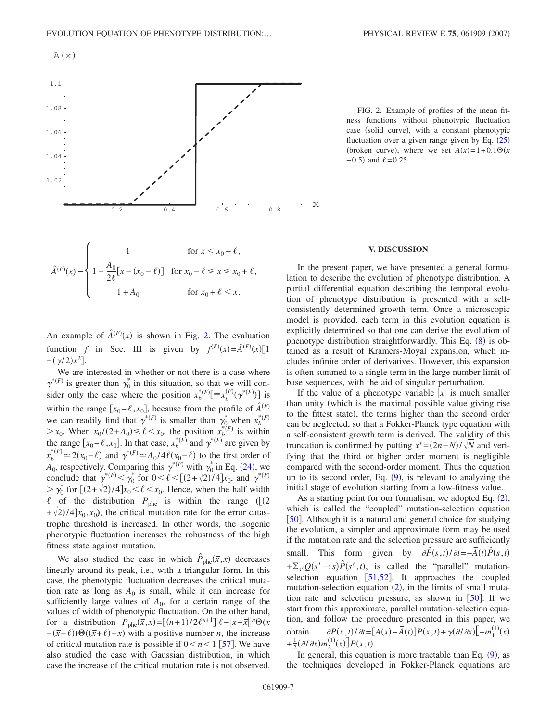<span id="page-6-0"></span>

An example of  $\hat{A}^{(F)}(x)$  is shown in Fig. [2.](#page-6-0) The evaluation function *f* in Sec. III is given by  $f^{(F)}(x) = \hat{A}^{(F)}(x)[1]$  $-(\gamma/2)x^2$ ].

We are interested in whether or not there is a case where  $\gamma^{*(F)}$  is greater than  $\gamma_0^*$  in this situation, so that we will consider only the case where the position  $x_b^{*(F)}$ [ $\equiv x_b^{(F)}(\gamma^{*(F)})$ ] is within the range  $[x_0-\ell, x_0]$ , because from the profile of  $\hat{A}^{(F)}$ we can readily find that  $\gamma^{*(F)}$  is smaller than  $\gamma_0^*$  when  $x_b^{*(F)} > x_0$ . When  $x_0/(2+A_0) \le \ell < x_0$ , the position  $x_b^{*(F)}$  is within the range  $[x_0-\ell, x_0]$ . In that case,  $x_b^{*(F)}$  and  $\gamma^{*(F)}$  are given by  $x_b^{*(F)}$  ≈ 2(*x*<sub>0</sub>− $\ell$ ) and  $\gamma^{*(F)}$  ≈ *A*<sub>0</sub>/4 $\ell$ (*x*<sub>0</sub>− $\ell$ ) to the first order of  $A_0$ , respectively. Comparing this  $\gamma^{*(F)}$  with  $\gamma_0^*$  in Eq. ([24](#page-5-1)), we conclude that  $\chi^*(F) < \gamma_0^*$  for  $0 < \ell < [(2+\sqrt{2})/4]x_0$ , and  $\gamma^{*(F)}$  $> \gamma_0^*$  for  $[(2+\sqrt{2})/4]x_0 < \ell < x_0$ . Hence, when the half width  $\ell$  of the distribution  $P_{\text{phe}}$  is within the range ([(2)  $+\sqrt{2}/4$   $[x_0, x_0)$ , the critical mutation rate for the error catastrophe threshold is increased. In other words, the isogenic phenotypic fluctuation increases the robustness of the high fitness state against mutation.

We also studied the case in which  $\hat{P}_{\text{phe}}(\bar{x},x)$  decreases linearly around its peak, i.e., with a triangular form. In this case, the phenotypic fluctuation decreases the critical mutation rate as long as  $A_0$  is small, while it can increase for sufficiently large values of  $A_0$ , for a certain range of the values of width of phenotypic fluctuation. On the other hand, for a distribution  $P_{\text{phc}}(\bar{x}, x) = [(n+1)/2\ell^{n+1}] |\ell - |x - \bar{x}|^n \Theta(x)$  $-(\bar{x}-\ell)$ ) $\Theta((\bar{x}+\ell)-x)$  with a positive number *n*, the increase of critical mutation rate is possible if  $0 \le n \le 1$  [[57](#page-9-24)]. We have also studied the case with Gaussian distribution, in which case the increase of the critical mutation rate is not observed.

FIG. 2. Example of profiles of the mean fitness functions without phenotypic fluctuation case (solid curve), with a constant phenotypic fluctuation over a given range given by Eq.  $(25)$  $(25)$  $(25)$ (broken curve), where we set  $A(x)=1+0.1\Theta(x)$  $-0.5$ ) and  $\ell = 0.25$ .

#### **V. DISCUSSION**

In the present paper, we have presented a general formulation to describe the evolution of phenotype distribution. A partial differential equation describing the temporal evolution of phenotype distribution is presented with a selfconsistently determined growth term. Once a microscopic model is provided, each term in this evolution equation is explicitly determined so that one can derive the evolution of phenotype distribution straightforwardly. This Eq.  $(8)$  $(8)$  $(8)$  is obtained as a result of Kramers-Moyal expansion, which includes infinite order of derivatives. However, this expansion is often summed to a single term in the large number limit of base sequences, with the aid of singular perturbation.

If the value of a phenotype variable  $|x|$  is much smaller than unity (which is the maximal possible value giving rise to the fittest state), the terms higher than the second order can be neglected, so that a Fokker-Planck type equation with a self-consistent growth term is derived. The validity of this truncation is confirmed by putting  $x' = (2n-N)/\sqrt{N}$  and verifying that the third or higher order moment is negligible compared with the second-order moment. Thus the equation up to its second order, Eq.  $(9)$  $(9)$  $(9)$ , is relevant to analyzing the initial stage of evolution starting from a low-fitness value.

As a starting point for our formalism, we adopted Eq.  $(2)$  $(2)$  $(2)$ , which is called the "coupled" mutation-selection equation [[50](#page-9-25)]. Although it is a natural and general choice for studying the evolution, a simpler and approximate form may be used if the mutation rate and the selection pressure are sufficiently small. This form given by  $\partial \hat{P}(s,t)/\partial t = -\overline{A}(t)\hat{P}(s,t)$  $+\sum_{s'} Q(s' \rightarrow s) \hat{P}(s',t)$ , is called the "parallel" mutationselection equation  $[51,52]$  $[51,52]$  $[51,52]$  $[51,52]$ . It approaches the coupled mutation-selection equation  $(2)$  $(2)$  $(2)$ , in the limits of small mutation rate and selection pressure, as shown in  $\lceil 50 \rceil$  $\lceil 50 \rceil$  $\lceil 50 \rceil$ . If we start from this approximate, parallel mutation-selection equation, and follow the procedure presented in this paper, we obtain  $\frac{\partial P(x,t)}{\partial t} = [A(x) - \overline{A}(t)]P(x,t) + \gamma(\partial/\partial x)\left[-m_1^{(1)}(x)\right]$  $+\frac{1}{2}(\partial/\partial x)m_2^{(1)}(x)\right]P(x,t).$ 

In general, this equation is more tractable than Eq.  $(9)$  $(9)$  $(9)$ , as the techniques developed in Fokker-Planck equations are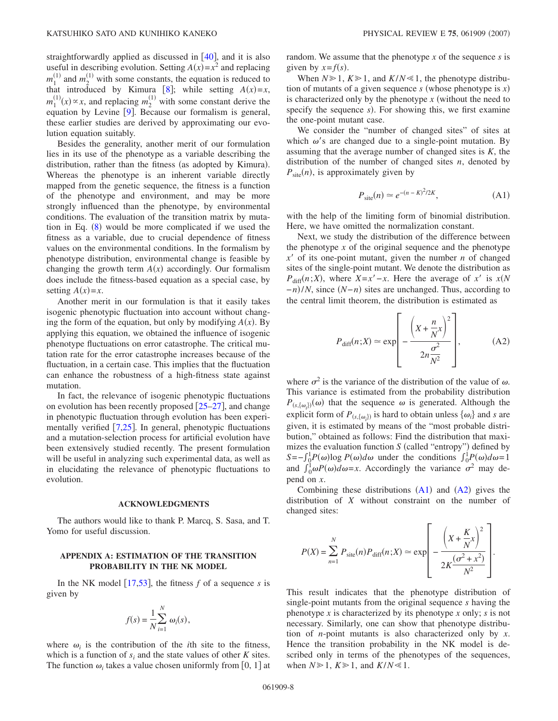straightforwardly applied as discussed in  $[40]$  $[40]$  $[40]$ , and it is also useful in describing evolution. Setting  $A(x) = x^2$  and replacing  $m_1^{(1)}$  and  $m_2^{(1)}$  with some constants, the equation is reduced to that introduced by Kimura [[8](#page-8-4)]; while setting  $A(x)=x$ ,  $m_1^{(1)}(x) \propto x$ , and replacing  $m_2^{(1)}$  with some constant derive the equation by Levine  $[9]$  $[9]$  $[9]$ . Because our formalism is general, these earlier studies are derived by approximating our evolution equation suitably.

Besides the generality, another merit of our formulation lies in its use of the phenotype as a variable describing the distribution, rather than the fitness (as adopted by Kimura). Whereas the phenotype is an inherent variable directly mapped from the genetic sequence, the fitness is a function of the phenotype and environment, and may be more strongly influenced than the phenotype, by environmental conditions. The evaluation of the transition matrix by muta-tion in Eq. ([8](#page-2-5)) would be more complicated if we used the fitness as a variable, due to crucial dependence of fitness values on the environmental conditions. In the formalism by phenotype distribution, environmental change is feasible by changing the growth term  $A(x)$  accordingly. Our formalism does include the fitness-based equation as a special case, by setting  $A(x)=x$ .

Another merit in our formulation is that it easily takes isogenic phenotypic fluctuation into account without changing the form of the equation, but only by modifying  $A(x)$ . By applying this equation, we obtained the influence of isogenic phenotype fluctuations on error catastrophe. The critical mutation rate for the error catastrophe increases because of the fluctuation, in a certain case. This implies that the fluctuation can enhance the robustness of a high-fitness state against mutation.

In fact, the relevance of isogenic phenotypic fluctuations on evolution has been recently proposed  $\left[25-27\right]$  $\left[25-27\right]$  $\left[25-27\right]$ , and change in phenotypic fluctuation through evolution has been experimentally verified  $\left[7,25\right]$  $\left[7,25\right]$  $\left[7,25\right]$  $\left[7,25\right]$ . In general, phenotypic fluctuations and a mutation-selection process for artificial evolution have been extensively studied recently. The present formulation will be useful in analyzing such experimental data, as well as in elucidating the relevance of phenotypic fluctuations to evolution.

#### **ACKNOWLEDGMENTS**

The authors would like to thank P. Marcq, S. Sasa, and T. Yomo for useful discussion.

# **APPENDIX A: ESTIMATION OF THE TRANSITION PROBABILITY IN THE NK MODEL**

In the NK model  $\left[17,53\right]$  $\left[17,53\right]$  $\left[17,53\right]$  $\left[17,53\right]$ , the fitness f of a sequence *s* is given by

$$
f(s) = \frac{1}{N} \sum_{i=1}^{N} \omega_i(s),
$$

where  $\omega_i$  is the contribution of the *i*th site to the fitness, which is a function of  $s_i$  and the state values of other  $K$  sites. The function  $\omega_i$  takes a value chosen uniformly from [0, 1] at random. We assume that the phenotype *x* of the sequence *s* is given by  $x = f(s)$ .

When  $N \ge 1$ ,  $K \ge 1$ , and  $K/N \le 1$ , the phenotype distribution of mutants of a given sequence  $s$  (whose phenotype is  $x$ ) is characterized only by the phenotype  $x$  (without the need to specify the sequence  $s$ ). For showing this, we first examine the one-point mutant case.

We consider the "number of changed sites" of sites at which  $\omega$ 's are changed due to a single-point mutation. By assuming that the average number of changed sites is *K*, the distribution of the number of changed sites *n*, denoted by  $P_{\text{site}}(n)$ , is approximately given by

$$
P_{\text{site}}(n) \simeq e^{-(n-K)^2/2K},\tag{A1}
$$

<span id="page-7-0"></span>with the help of the limiting form of binomial distribution. Here, we have omitted the normalization constant.

Next, we study the distribution of the difference between the phenotype  $x$  of the original sequence and the phenotype  $x'$  of its one-point mutant, given the number  $n$  of changed sites of the single-point mutant. We denote the distribution as  $P_{\text{diff}}(n;X)$ , where  $X=x'-x$ . Here the average of *x'* is *x(N) −n*)/*N*, since (*N*−*n*) sites are unchanged. Thus, according to the central limit theorem, the distribution is estimated as

<span id="page-7-1"></span>
$$
P_{\text{diff}}(n;X) \simeq \exp\left(-\frac{\left(X + \frac{n}{N}x\right)^2}{2n\frac{\sigma^2}{N^2}}\right),\tag{A2}
$$

where  $\sigma^2$  is the variance of the distribution of the value of  $\omega$ . This variance is estimated from the probability distribution  $P_{(s,\{\omega_i\})}(\omega)$  that the sequence  $\omega$  is generated. Although the explicit form of  $P_{(s,\{\omega_i\})}$  is hard to obtain unless  $\{\omega_i\}$  and *s* are given, it is estimated by means of the "most probable distribution," obtained as follows: Find the distribution that maximizes the evaluation function  $S$  (called "entropy") defined by  $S = -\int_{0}^{1} P(\omega) \log P(\omega) d\omega$  under the conditions  $\int_{0}^{1} P(\omega) d\omega = 1$ and  $\int_0^1 \omega P(\omega) d\omega = x$ . Accordingly the variance  $\sigma^2$  may depend on *x*.

Combining these distributions  $(A1)$  $(A1)$  $(A1)$  and  $(A2)$  $(A2)$  $(A2)$  gives the distribution of *X* without constraint on the number of changed sites:

$$
P(X) = \sum_{n=1}^{N} P_{\text{site}}(n) P_{\text{diff}}(n; X) \approx \exp\left[-\frac{\left(X + \frac{K}{N}x\right)^2}{2K\frac{(\sigma^2 + x^2)}{N^2}}\right].
$$

This result indicates that the phenotype distribution of single-point mutants from the original sequence *s* having the phenotype *x* is characterized by its phenotype *x* only; *s* is not necessary. Similarly, one can show that phenotype distribution of *n*-point mutants is also characterized only by *x*. Hence the transition probability in the NK model is described only in terms of the phenotypes of the sequences, when  $N \ge 1$ ,  $K \ge 1$ , and  $K/N \le 1$ .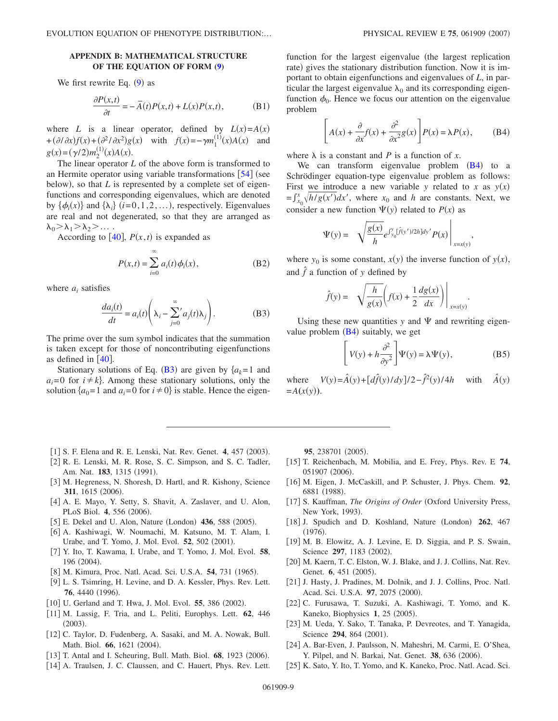# **APPENDIX B: MATHEMATICAL STRUCTURE OF THE EQUATION OF FORM [\(9\)](#page-2-6)**

We first rewrite Eq.  $(9)$  $(9)$  $(9)$  as

$$
\frac{\partial P(x,t)}{\partial t} = -\overline{A}(t)P(x,t) + L(x)P(x,t),
$$
 (B1)

where *L* is a linear operator, defined by  $L(x)=A(x)$ +( $\partial/\partial x$ )  $f(x)$  +  $(\partial^2/\partial x^2)g(x)$  with  $f(x) = -\gamma m_1^{(1)}(x)A(x)$  and  $g(x) = (\gamma/2)m_2^{(1)}(x)A(x).$ 

The linear operator *L* of the above form is transformed to an Hermite operator using variable transformations  $[54]$  $[54]$  $[54]$  (see below), so that  $L$  is represented by a complete set of eigenfunctions and corresponding eigenvalues, which are denoted by  $\{\phi_i(x)\}\$  and  $\{\lambda_i\}(i=0,1,2,\ldots)$ , respectively. Eigenvalues are real and not degenerated, so that they are arranged as  $\lambda_0 > \lambda_1 > \lambda_2 > \ldots$ 

According to  $[40]$  $[40]$  $[40]$ ,  $P(x, t)$  is expanded as

$$
P(x,t) = \sum_{i=0}^{\infty} a_i(t) \phi_i(x),
$$
 (B2)

<span id="page-8-16"></span>where *ai* satisfies

$$
\frac{da_i(t)}{dt} = a_i(t) \left( \lambda_i - \sum_{j=0}^{\infty} a_j(t) \lambda_j \right).
$$
 (B3)

The prime over the sum symbol indicates that the summation is taken except for those of noncontributing eigenfunctions as defined in  $|40|$  $|40|$  $|40|$ .

Stationary solutions of Eq. ([B3](#page-8-16)) are given by  $\{a_k = 1 \text{ and } a_k = 2\}$  $a_i = 0$  for  $i \neq k$ . Among these stationary solutions, only the solution  $\{a_0 = 1 \text{ and } a_i = 0 \text{ for } i \neq 0\}$  is stable. Hence the eigenfunction for the largest eigenvalue (the largest replication rate) gives the stationary distribution function. Now it is important to obtain eigenfunctions and eigenvalues of *L*, in particular the largest eigenvalue  $\lambda_0$  and its corresponding eigenfunction  $\phi_0$ . Hence we focus our attention on the eigenvalue problem

$$
\[A(x) + \frac{\partial}{\partial x}f(x) + \frac{\partial^2}{\partial x^2}g(x)\]P(x) = \lambda P(x),\tag{B4}
$$

<span id="page-8-17"></span>where  $\lambda$  is a constant and *P* is a function of *x*.

We can transform eigenvalue problem  $(B4)$  $(B4)$  $(B4)$  to a Schrödinger equation-type eigenvalue problem as follows: First we introduce a new variable *y* related to *x* as  $y(x)$  $=\int_{x_0}^{x} \sqrt{h/g(x')dx'}$ , where  $x_0$  and *h* are constants. Next, we consider a new function  $\Psi(y)$  related to  $P(x)$  as

$$
\Psi(y) = \sqrt{\frac{g(x)}{h}} e^{\int_{y_0}^y [\hat{f}(y')/2h]dy'} P(x) \Bigg|_{x=x(y)},
$$

where  $y_0$  is some constant,  $x(y)$  the inverse function of  $y(x)$ , and  $\hat{f}$  a function of *y* defined by

$$
\hat{f}(y) = \sqrt{\frac{h}{g(x)}} \left( f(x) + \frac{1}{2} \frac{dg(x)}{dx} \right) \Big|_{x=x(y)}
$$

Using these new quantities  $y$  and  $\Psi$  and rewriting eigenvalue problem  $(B4)$  $(B4)$  $(B4)$  suitably, we get

$$
\[V(y) + h \frac{\partial^2}{\partial y^2} \] \Psi(y) = \lambda \Psi(y), \tag{B5}
$$

.

where  $V(y) = \hat{A}(y) + [\hat{df}(y)/dy]/2 - \hat{f}^2(y)/4h$  with  $\hat{A}(y)$  $=A(x(y)).$ 

- <span id="page-8-0"></span>[1] S. F. Elena and R. E. Lenski, Nat. Rev. Genet. 4, 457 (2003).
- [2] R. E. Lenski, M. R. Rose, S. C. Simpson, and S. C. Tadler, Am. Nat. **183**, 1315 (1991).
- <span id="page-8-1"></span>3 M. Hegreness, N. Shoresh, D. Hartl, and R. Kishony, Science 311, 1615 (2006).
- <span id="page-8-2"></span>[4] A. E. Mayo, Y. Setty, S. Shavit, A. Zaslaver, and U. Alon, PLoS Biol. 4, 556 (2006).
- [5] E. Dekel and U. Alon, Nature (London) 436, 588 (2005).
- [6] A. Kashiwagi, W. Noumachi, M. Katsuno, M. T. Alam, I. Urabe, and T. Yomo, J. Mol. Evol. 52, 502 (2001).
- <span id="page-8-3"></span>7 Y. Ito, T. Kawama, I. Urabe, and T. Yomo, J. Mol. Evol. **58**, 196 (2004).
- <span id="page-8-4"></span>[8] M. Kimura, Proc. Natl. Acad. Sci. U.S.A. 54, 731 (1965).
- <span id="page-8-5"></span>9 L. S. Tsimring, H. Levine, and D. A. Kessler, Phys. Rev. Lett. 76, 4440 (1996).
- [10] U. Gerland and T. Hwa, J. Mol. Evol. 55, 386 (2002).
- <span id="page-8-6"></span>11 M. Lassig, F. Tria, and L. Peliti, Europhys. Lett. **62**, 446  $(2003).$
- <span id="page-8-7"></span>[12] C. Taylor, D. Fudenberg, A. Sasaki, and M. A. Nowak, Bull. Math. Biol. 66, 1621 (2004).
- [13] T. Antal and I. Scheuring, Bull. Math. Biol. 68, 1923 (2006).
- [14] A. Traulsen, J. C. Claussen, and C. Hauert, Phys. Rev. Lett.

95, 238701 (2005).

- <span id="page-8-8"></span>15 T. Reichenbach, M. Mobilia, and E. Frey, Phys. Rev. E **74**, 051907 (2006).
- <span id="page-8-9"></span>16 M. Eigen, J. McCaskill, and P. Schuster, J. Phys. Chem. **92**, 6881 (1988).
- <span id="page-8-10"></span>[17] S. Kauffman, *The Origins of Order* (Oxford University Press, New York, 1993).
- <span id="page-8-11"></span>[18] J. Spudich and D. Koshland, Nature (London) 262, 467  $(1976).$
- <span id="page-8-15"></span>19 M. B. Elowitz, A. J. Levine, E. D. Siggia, and P. S. Swain, Science 297, 1183 (2002).
- [20] M. Kaern, T. C. Elston, W. J. Blake, and J. J. Collins, Nat. Rev. Genet. 6, 451 (2005).
- [21] J. Hasty, J. Pradines, M. Dolnik, and J. J. Collins, Proc. Natl. Acad. Sci. U.S.A. 97, 2075 (2000).
- <span id="page-8-14"></span>[22] C. Furusawa, T. Suzuki, A. Kashiwagi, T. Yomo, and K. Kaneko, Biophysics 1, 25 (2005).
- [23] M. Ueda, Y. Sako, T. Tanaka, P. Devreotes, and T. Yanagida, Science 294, 864 (2001).
- <span id="page-8-12"></span>[24] A. Bar-Even, J. Paulsson, N. Maheshri, M. Carmi, E. O'Shea, Y. Pilpel, and N. Barkai, Nat. Genet. 38, 636 (2006).
- <span id="page-8-13"></span>[25] K. Sato, Y. Ito, T. Yomo, and K. Kaneko, Proc. Natl. Acad. Sci.